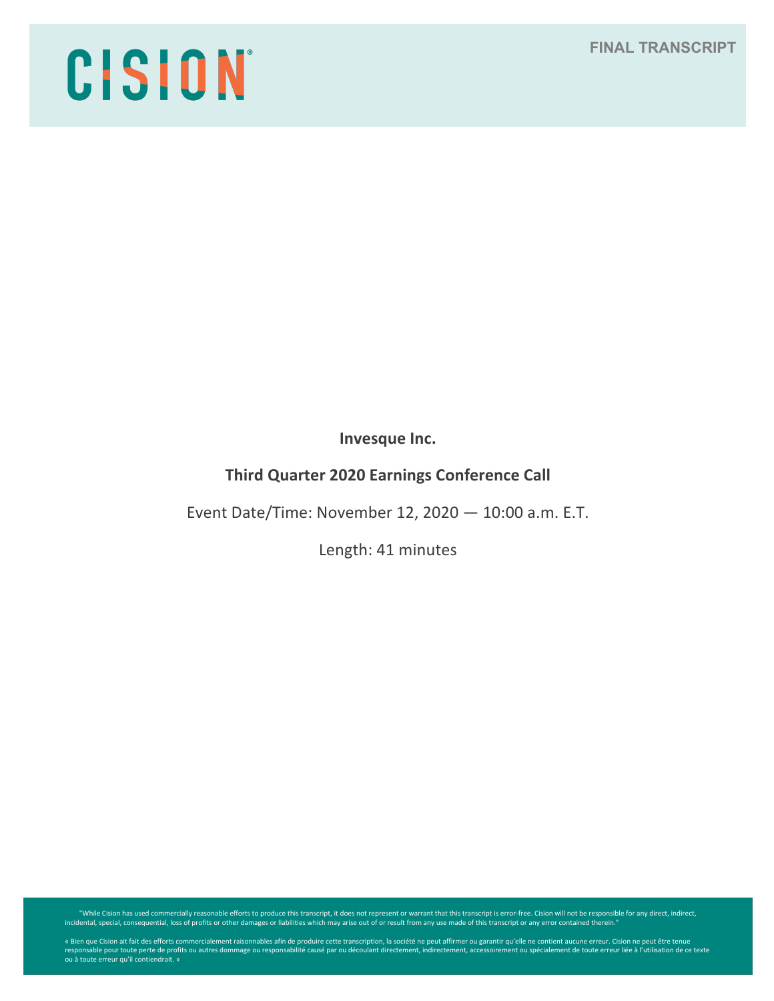## **FINAL TRANSCRIPT**

# CISION

**Invesque Inc.**

# **Third Quarter 2020 Earnings Conference Call**

Event Date/Time: November 12, 2020 — 10:00 a.m. E.T.

Length: 41 minutes

While Cision has used commercially reasonable efforts to produce this transcript, it does not represent or warrant that this transcript is error-free. Cision will not be responsible for any direct, indirect, indirect, indi

« Bien que Cision ait fait des efforts commercialement raisonnables afin de produire cette transcription, la société ne peut affirmer ou garantir qu'elle ne contient aucune erreur. Cision ne peut être tenue<br>responsable pou ou à toute erreur qu'il contiendrait. »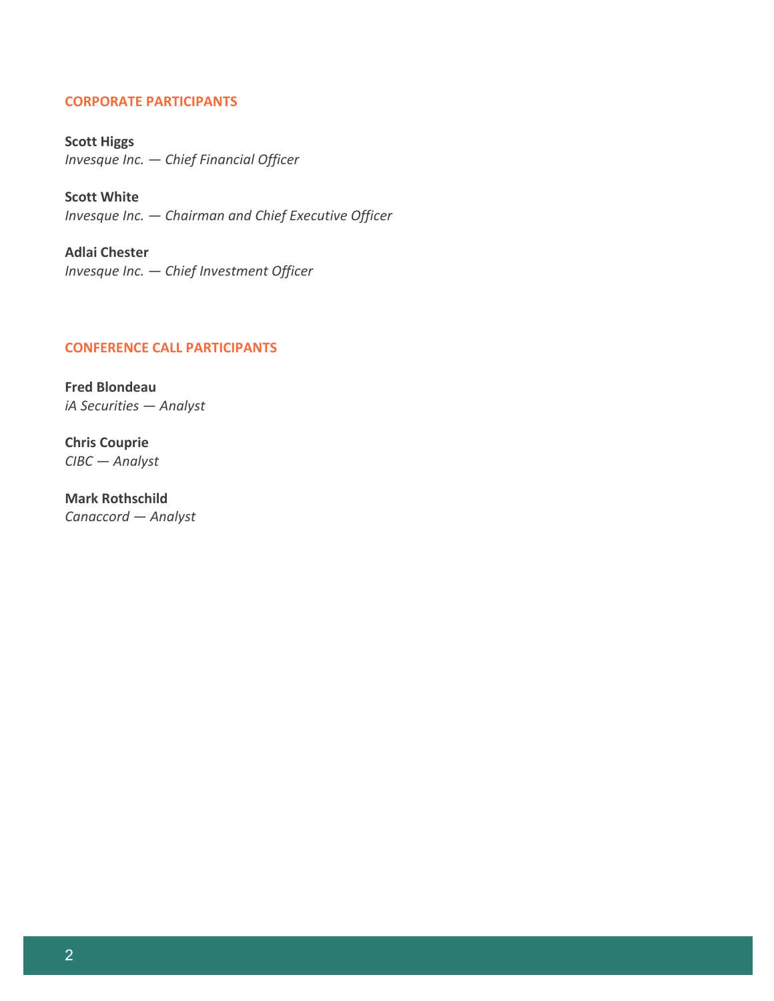#### **CORPORATE PARTICIPANTS**

**Scott Higgs** *Invesque Inc. — Chief Financial Officer*

**Scott White** *Invesque Inc. — Chairman and Chief Executive Officer*

**Adlai Chester** *Invesque Inc. — Chief Investment Officer*

## **CONFERENCE CALL PARTICIPANTS**

**Fred Blondeau** *iA Securities — Analyst*

**Chris Couprie** *CIBC — Analyst*

**Mark Rothschild** *Canaccord — Analyst*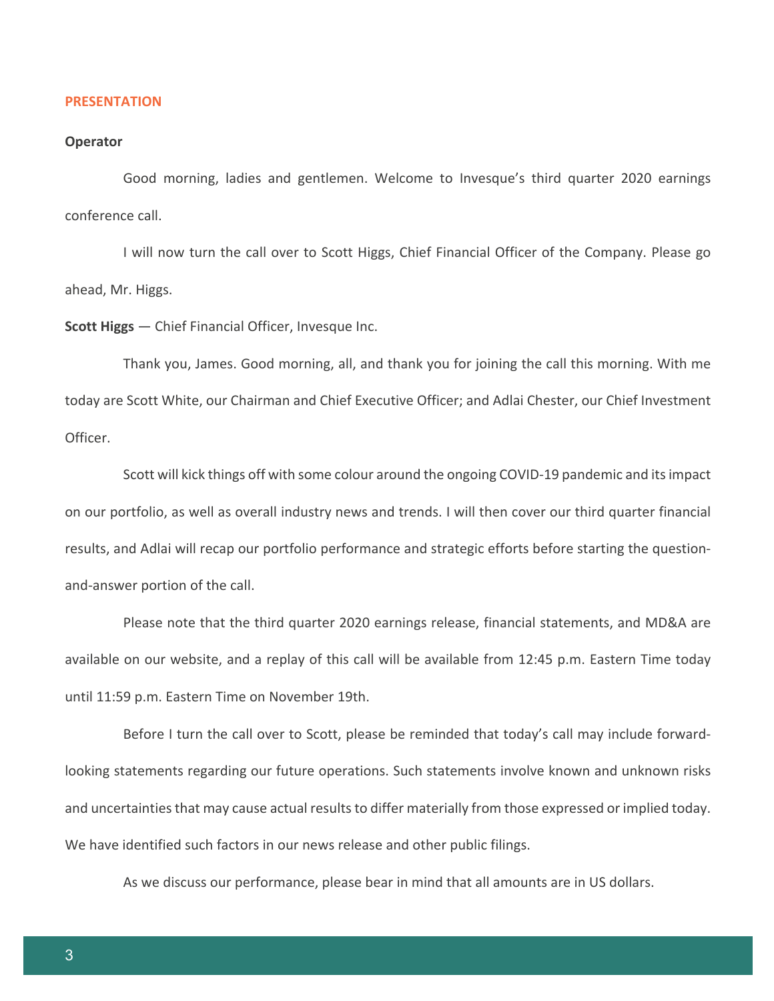#### **PRESENTATION**

#### **Operator**

Good morning, ladies and gentlemen. Welcome to Invesque's third quarter 2020 earnings conference call.

I will now turn the call over to Scott Higgs, Chief Financial Officer of the Company. Please go ahead, Mr. Higgs.

**Scott Higgs** — Chief Financial Officer, Invesque Inc.

Thank you, James. Good morning, all, and thank you for joining the call this morning. With me today are Scott White, our Chairman and Chief Executive Officer; and Adlai Chester, our Chief Investment Officer.

Scott will kick things off with some colour around the ongoing COVID-19 pandemic and its impact on our portfolio, as well as overall industry news and trends. I will then cover our third quarter financial results, and Adlai will recap our portfolio performance and strategic efforts before starting the questionand-answer portion of the call.

Please note that the third quarter 2020 earnings release, financial statements, and MD&A are available on our website, and a replay of this call will be available from 12:45 p.m. Eastern Time today until 11:59 p.m. Eastern Time on November 19th.

Before I turn the call over to Scott, please be reminded that today's call may include forwardlooking statements regarding our future operations. Such statements involve known and unknown risks and uncertainties that may cause actual results to differ materially from those expressed or implied today. We have identified such factors in our news release and other public filings.

As we discuss our performance, please bear in mind that all amounts are in US dollars.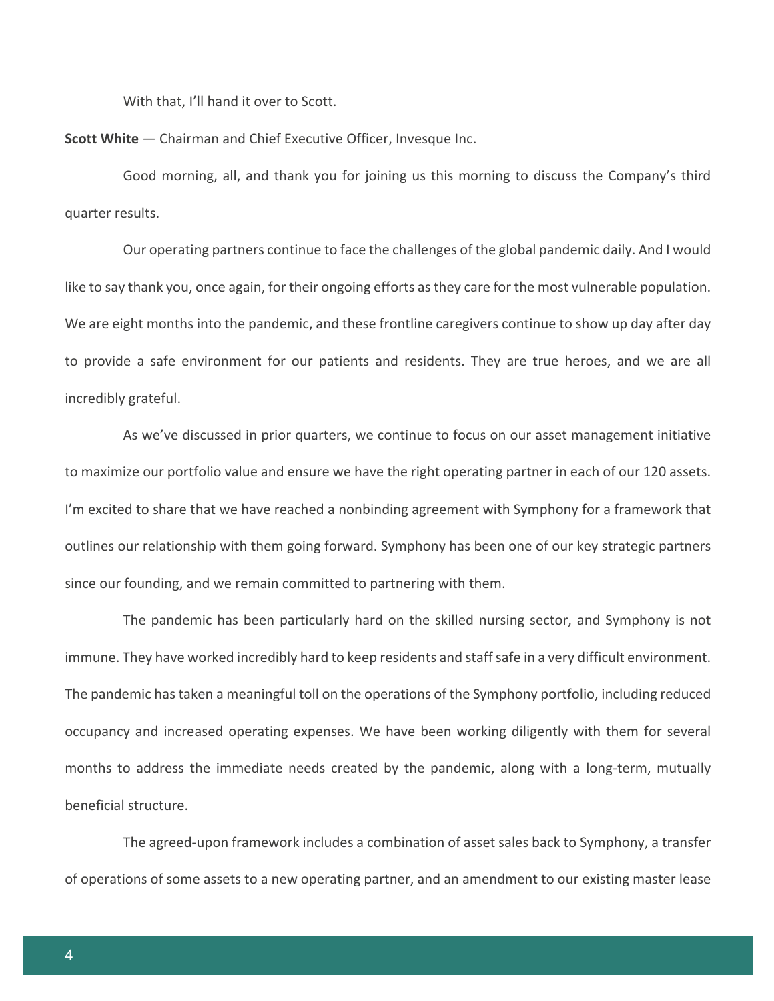With that, I'll hand it over to Scott.

**Scott White** — Chairman and Chief Executive Officer, Invesque Inc.

Good morning, all, and thank you for joining us this morning to discuss the Company's third quarter results.

Our operating partners continue to face the challenges of the global pandemic daily. And I would like to say thank you, once again, for their ongoing efforts as they care for the most vulnerable population. We are eight months into the pandemic, and these frontline caregivers continue to show up day after day to provide a safe environment for our patients and residents. They are true heroes, and we are all incredibly grateful.

As we've discussed in prior quarters, we continue to focus on our asset management initiative to maximize our portfolio value and ensure we have the right operating partner in each of our 120 assets. I'm excited to share that we have reached a nonbinding agreement with Symphony for a framework that outlines our relationship with them going forward. Symphony has been one of our key strategic partners since our founding, and we remain committed to partnering with them.

The pandemic has been particularly hard on the skilled nursing sector, and Symphony is not immune. They have worked incredibly hard to keep residents and staff safe in a very difficult environment. The pandemic has taken a meaningful toll on the operations of the Symphony portfolio, including reduced occupancy and increased operating expenses. We have been working diligently with them for several months to address the immediate needs created by the pandemic, along with a long-term, mutually beneficial structure.

The agreed-upon framework includes a combination of asset sales back to Symphony, a transfer of operations of some assets to a new operating partner, and an amendment to our existing master lease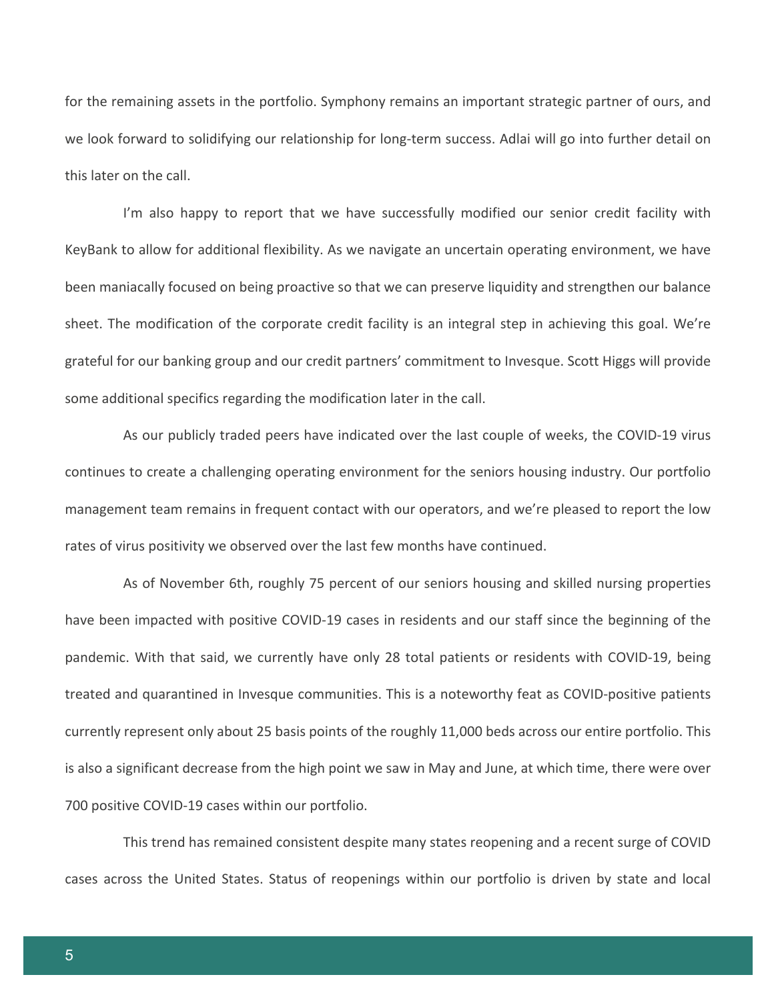for the remaining assets in the portfolio. Symphony remains an important strategic partner of ours, and we look forward to solidifying our relationship for long-term success. Adlai will go into further detail on this later on the call.

I'm also happy to report that we have successfully modified our senior credit facility with KeyBank to allow for additional flexibility. As we navigate an uncertain operating environment, we have been maniacally focused on being proactive so that we can preserve liquidity and strengthen our balance sheet. The modification of the corporate credit facility is an integral step in achieving this goal. We're grateful for our banking group and our credit partners' commitment to Invesque. Scott Higgs will provide some additional specifics regarding the modification later in the call.

As our publicly traded peers have indicated over the last couple of weeks, the COVID-19 virus continues to create a challenging operating environment for the seniors housing industry. Our portfolio management team remains in frequent contact with our operators, and we're pleased to report the low rates of virus positivity we observed over the last few months have continued.

As of November 6th, roughly 75 percent of our seniors housing and skilled nursing properties have been impacted with positive COVID-19 cases in residents and our staff since the beginning of the pandemic. With that said, we currently have only 28 total patients or residents with COVID-19, being treated and quarantined in Invesque communities. This is a noteworthy feat as COVID-positive patients currently represent only about 25 basis points of the roughly 11,000 beds across our entire portfolio. This is also a significant decrease from the high point we saw in May and June, at which time, there were over 700 positive COVID-19 cases within our portfolio.

This trend has remained consistent despite many states reopening and a recent surge of COVID cases across the United States. Status of reopenings within our portfolio is driven by state and local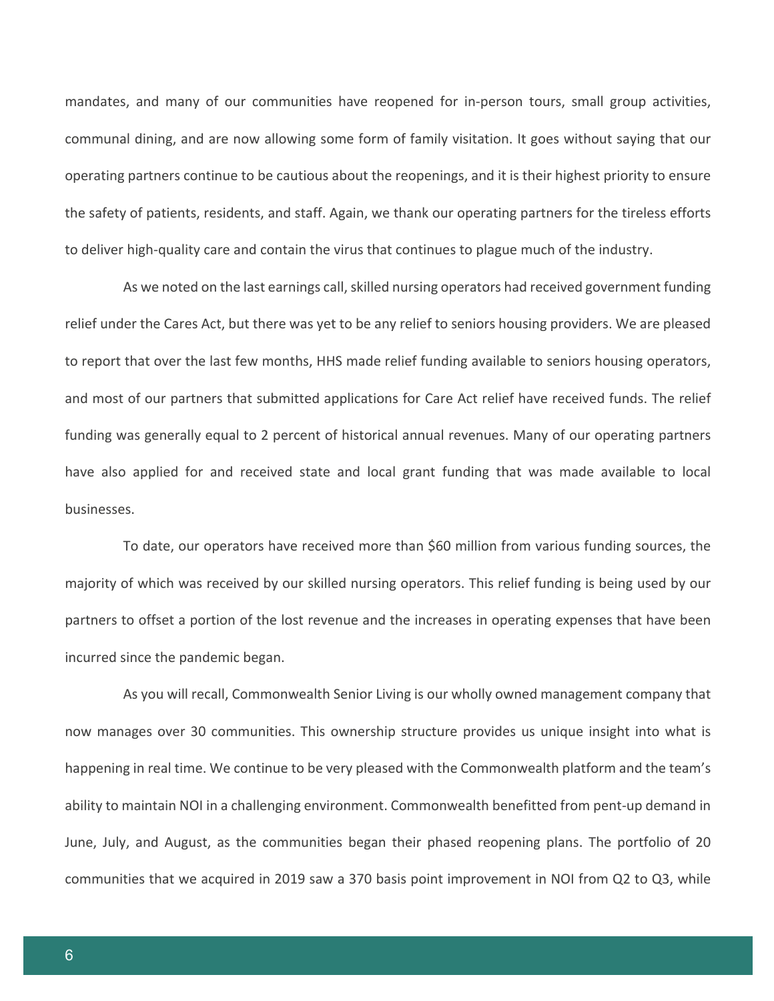mandates, and many of our communities have reopened for in-person tours, small group activities, communal dining, and are now allowing some form of family visitation. It goes without saying that our operating partners continue to be cautious about the reopenings, and it is their highest priority to ensure the safety of patients, residents, and staff. Again, we thank our operating partners for the tireless efforts to deliver high-quality care and contain the virus that continues to plague much of the industry.

As we noted on the last earnings call, skilled nursing operators had received government funding relief under the Cares Act, but there was yet to be any relief to seniors housing providers. We are pleased to report that over the last few months, HHS made relief funding available to seniors housing operators, and most of our partners that submitted applications for Care Act relief have received funds. The relief funding was generally equal to 2 percent of historical annual revenues. Many of our operating partners have also applied for and received state and local grant funding that was made available to local businesses.

To date, our operators have received more than \$60 million from various funding sources, the majority of which was received by our skilled nursing operators. This relief funding is being used by our partners to offset a portion of the lost revenue and the increases in operating expenses that have been incurred since the pandemic began.

As you will recall, Commonwealth Senior Living is our wholly owned management company that now manages over 30 communities. This ownership structure provides us unique insight into what is happening in real time. We continue to be very pleased with the Commonwealth platform and the team's ability to maintain NOI in a challenging environment. Commonwealth benefitted from pent-up demand in June, July, and August, as the communities began their phased reopening plans. The portfolio of 20 communities that we acquired in 2019 saw a 370 basis point improvement in NOI from Q2 to Q3, while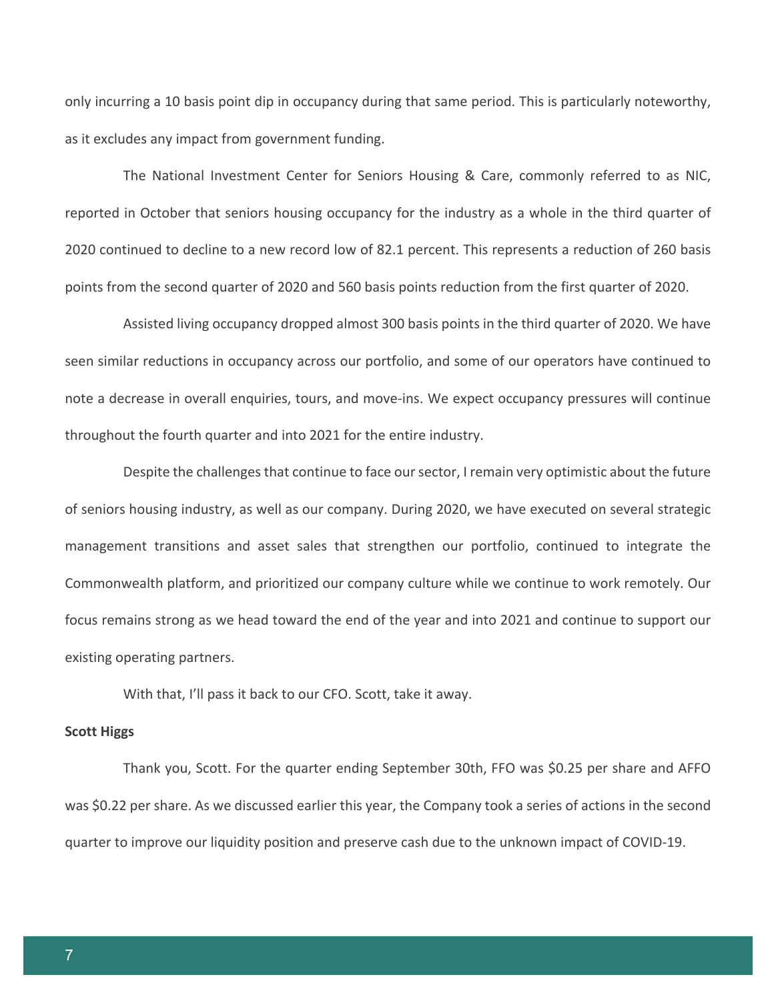only incurring a 10 basis point dip in occupancy during that same period. This is particularly noteworthy, as it excludes any impact from government funding.

The National Investment Center for Seniors Housing & Care, commonly referred to as NIC, reported in October that seniors housing occupancy for the industry as a whole in the third quarter of 2020 continued to decline to a new record low of 82.1 percent. This represents a reduction of 260 basis points from the second quarter of 2020 and 560 basis points reduction from the first quarter of 2020.

Assisted living occupancy dropped almost 300 basis points in the third quarter of 2020. We have seen similar reductions in occupancy across our portfolio, and some of our operators have continued to note a decrease in overall enquiries, tours, and move-ins. We expect occupancy pressures will continue throughout the fourth quarter and into 2021 for the entire industry.

Despite the challenges that continue to face our sector, I remain very optimistic about the future of seniors housing industry, as well as our company. During 2020, we have executed on several strategic management transitions and asset sales that strengthen our portfolio, continued to integrate the Commonwealth platform, and prioritized our company culture while we continue to work remotely. Our focus remains strong as we head toward the end of the year and into 2021 and continue to support our existing operating partners.

With that, I'll pass it back to our CFO. Scott, take it away.

## **Scott Higgs**

Thank you, Scott. For the quarter ending September 30th, FFO was \$0.25 per share and AFFO was \$0.22 per share. As we discussed earlier this year, the Company took a series of actions in the second quarter to improve our liquidity position and preserve cash due to the unknown impact of COVID-19.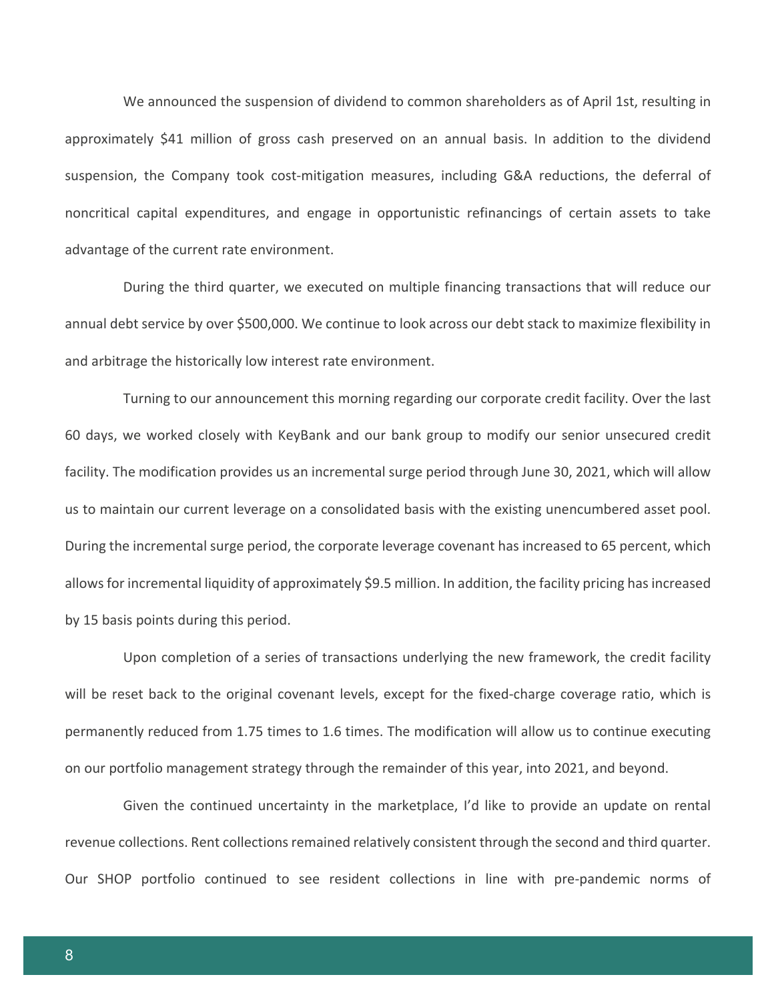We announced the suspension of dividend to common shareholders as of April 1st, resulting in approximately \$41 million of gross cash preserved on an annual basis. In addition to the dividend suspension, the Company took cost-mitigation measures, including G&A reductions, the deferral of noncritical capital expenditures, and engage in opportunistic refinancings of certain assets to take advantage of the current rate environment.

During the third quarter, we executed on multiple financing transactions that will reduce our annual debt service by over \$500,000. We continue to look across our debt stack to maximize flexibility in and arbitrage the historically low interest rate environment.

Turning to our announcement this morning regarding our corporate credit facility. Over the last 60 days, we worked closely with KeyBank and our bank group to modify our senior unsecured credit facility. The modification provides us an incremental surge period through June 30, 2021, which will allow us to maintain our current leverage on a consolidated basis with the existing unencumbered asset pool. During the incremental surge period, the corporate leverage covenant has increased to 65 percent, which allows for incremental liquidity of approximately \$9.5 million. In addition, the facility pricing has increased by 15 basis points during this period.

Upon completion of a series of transactions underlying the new framework, the credit facility will be reset back to the original covenant levels, except for the fixed-charge coverage ratio, which is permanently reduced from 1.75 times to 1.6 times. The modification will allow us to continue executing on our portfolio management strategy through the remainder of this year, into 2021, and beyond.

Given the continued uncertainty in the marketplace, I'd like to provide an update on rental revenue collections. Rent collections remained relatively consistent through the second and third quarter. Our SHOP portfolio continued to see resident collections in line with pre-pandemic norms of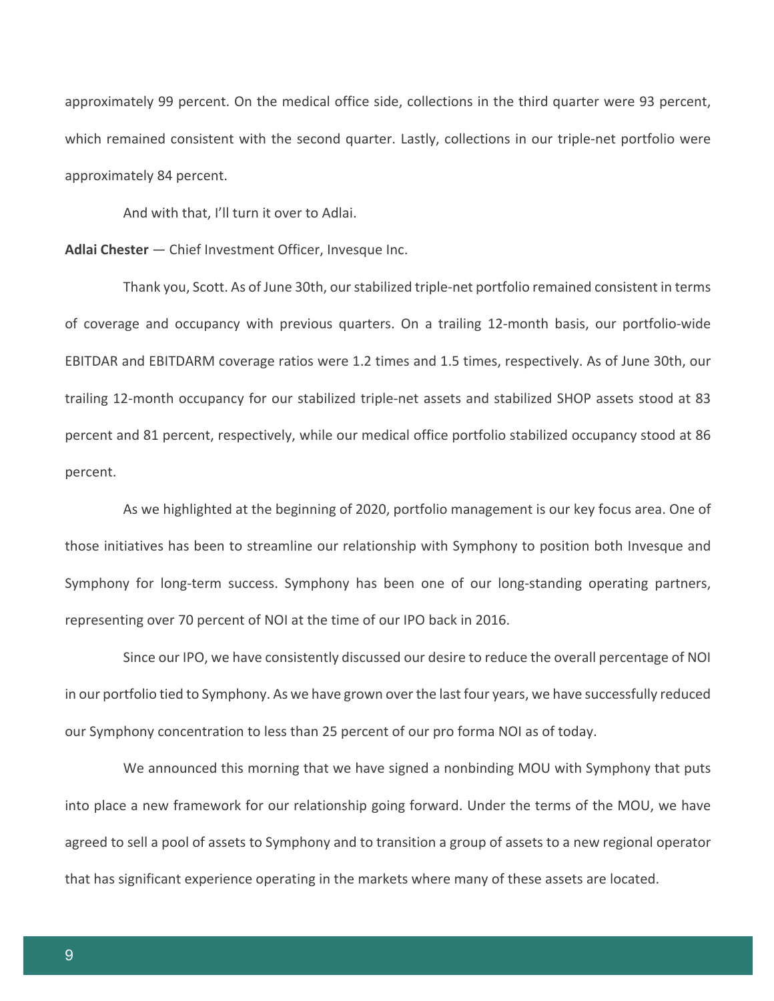approximately 99 percent. On the medical office side, collections in the third quarter were 93 percent, which remained consistent with the second quarter. Lastly, collections in our triple-net portfolio were approximately 84 percent.

And with that, I'll turn it over to Adlai.

**Adlai Chester** — Chief Investment Officer, Invesque Inc.

Thank you, Scott. As of June 30th, our stabilized triple-net portfolio remained consistent in terms of coverage and occupancy with previous quarters. On a trailing 12-month basis, our portfolio-wide EBITDAR and EBITDARM coverage ratios were 1.2 times and 1.5 times, respectively. As of June 30th, our trailing 12-month occupancy for our stabilized triple-net assets and stabilized SHOP assets stood at 83 percent and 81 percent, respectively, while our medical office portfolio stabilized occupancy stood at 86 percent.

As we highlighted at the beginning of 2020, portfolio management is our key focus area. One of those initiatives has been to streamline our relationship with Symphony to position both Invesque and Symphony for long-term success. Symphony has been one of our long-standing operating partners, representing over 70 percent of NOI at the time of our IPO back in 2016.

Since our IPO, we have consistently discussed our desire to reduce the overall percentage of NOI in our portfolio tied to Symphony. As we have grown over the last four years, we have successfully reduced our Symphony concentration to less than 25 percent of our pro forma NOI as of today.

We announced this morning that we have signed a nonbinding MOU with Symphony that puts into place a new framework for our relationship going forward. Under the terms of the MOU, we have agreed to sell a pool of assets to Symphony and to transition a group of assets to a new regional operator that has significant experience operating in the markets where many of these assets are located.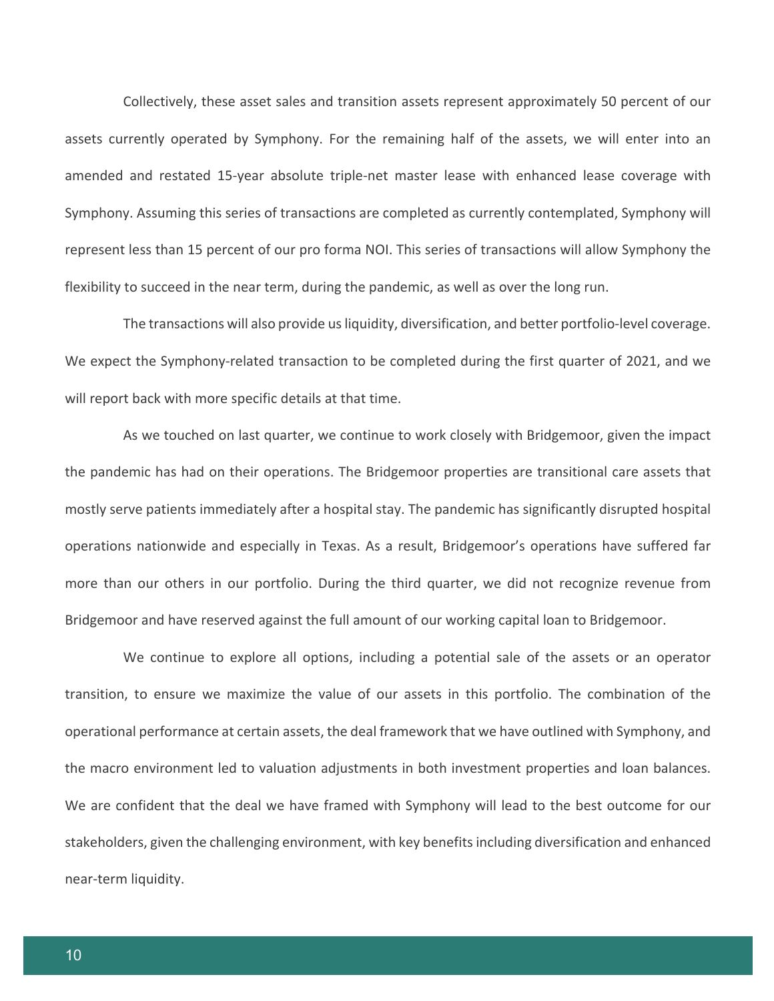Collectively, these asset sales and transition assets represent approximately 50 percent of our assets currently operated by Symphony. For the remaining half of the assets, we will enter into an amended and restated 15-year absolute triple-net master lease with enhanced lease coverage with Symphony. Assuming this series of transactions are completed as currently contemplated, Symphony will represent less than 15 percent of our pro forma NOI. This series of transactions will allow Symphony the flexibility to succeed in the near term, during the pandemic, as well as over the long run.

The transactions will also provide us liquidity, diversification, and better portfolio-level coverage. We expect the Symphony-related transaction to be completed during the first quarter of 2021, and we will report back with more specific details at that time.

As we touched on last quarter, we continue to work closely with Bridgemoor, given the impact the pandemic has had on their operations. The Bridgemoor properties are transitional care assets that mostly serve patients immediately after a hospital stay. The pandemic has significantly disrupted hospital operations nationwide and especially in Texas. As a result, Bridgemoor's operations have suffered far more than our others in our portfolio. During the third quarter, we did not recognize revenue from Bridgemoor and have reserved against the full amount of our working capital loan to Bridgemoor.

We continue to explore all options, including a potential sale of the assets or an operator transition, to ensure we maximize the value of our assets in this portfolio. The combination of the operational performance at certain assets, the deal framework that we have outlined with Symphony, and the macro environment led to valuation adjustments in both investment properties and loan balances. We are confident that the deal we have framed with Symphony will lead to the best outcome for our stakeholders, given the challenging environment, with key benefits including diversification and enhanced near-term liquidity.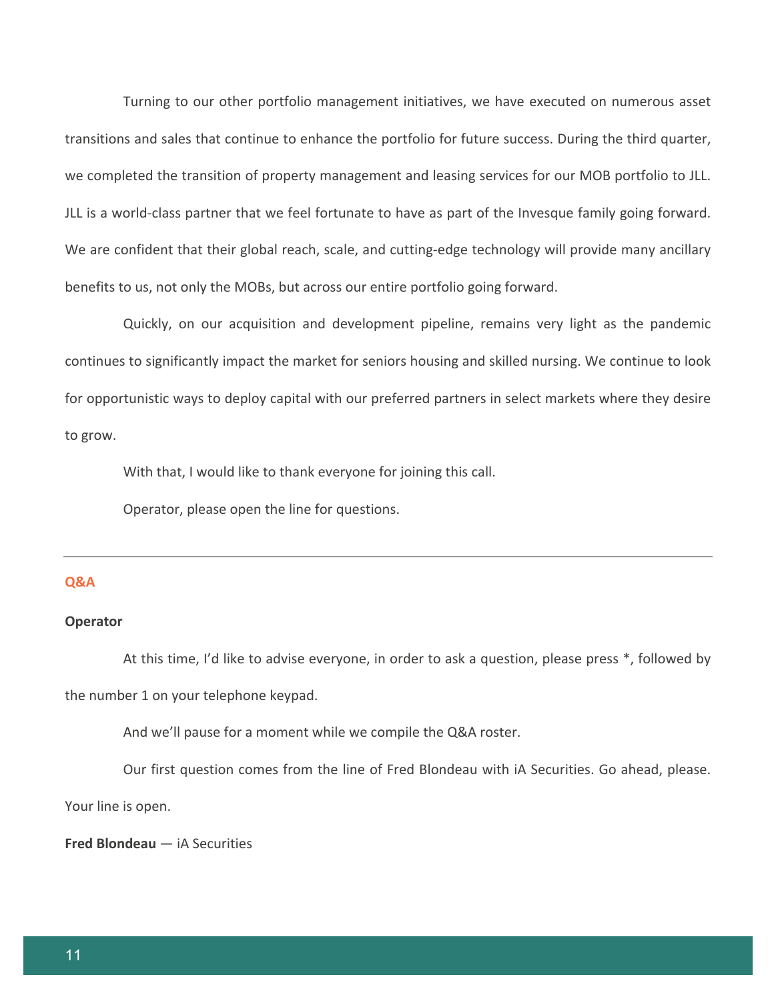Turning to our other portfolio management initiatives, we have executed on numerous asset transitions and sales that continue to enhance the portfolio for future success. During the third quarter, we completed the transition of property management and leasing services for our MOB portfolio to JLL. JLL is a world-class partner that we feel fortunate to have as part of the Invesque family going forward. We are confident that their global reach, scale, and cutting-edge technology will provide many ancillary benefits to us, not only the MOBs, but across our entire portfolio going forward.

Quickly, on our acquisition and development pipeline, remains very light as the pandemic continues to significantly impact the market for seniors housing and skilled nursing. We continue to look for opportunistic ways to deploy capital with our preferred partners in select markets where they desire to grow.

With that, I would like to thank everyone for joining this call.

Operator, please open the line for questions.

#### **Q&A**

#### **Operator**

At this time, I'd like to advise everyone, in order to ask a question, please press \*, followed by the number 1 on your telephone keypad.

And we'll pause for a moment while we compile the Q&A roster.

Our first question comes from the line of Fred Blondeau with iA Securities. Go ahead, please.

Your line is open.

**Fred Blondeau** — iA Securities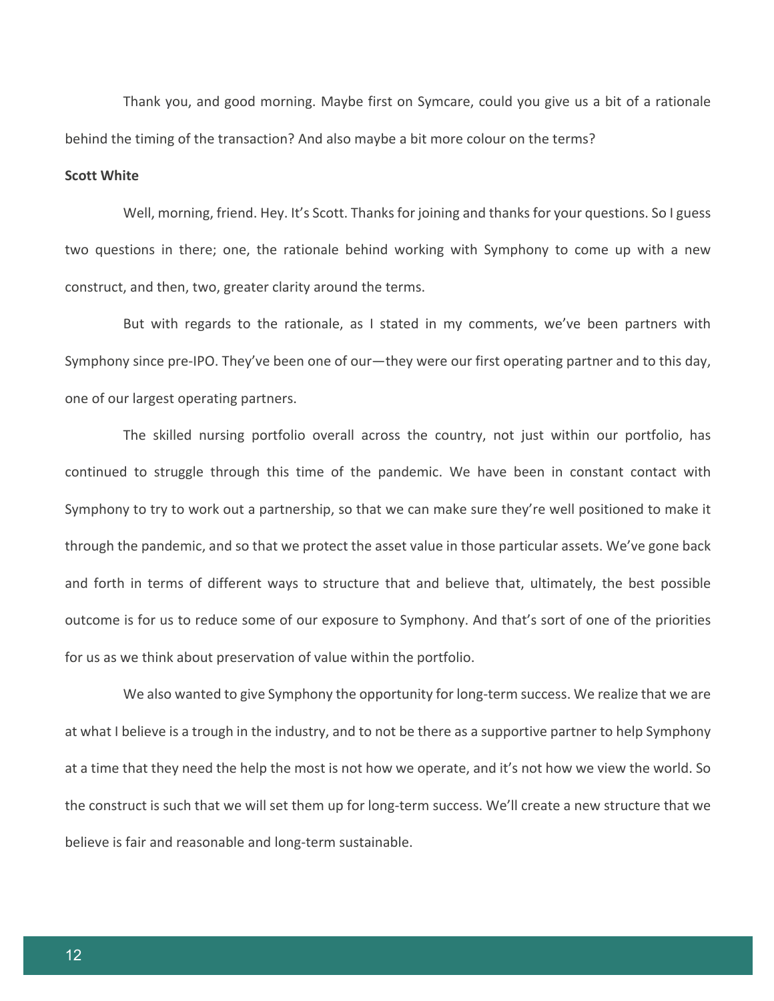Thank you, and good morning. Maybe first on Symcare, could you give us a bit of a rationale behind the timing of the transaction? And also maybe a bit more colour on the terms?

## **Scott White**

Well, morning, friend. Hey. It's Scott. Thanks for joining and thanks for your questions. So I guess two questions in there; one, the rationale behind working with Symphony to come up with a new construct, and then, two, greater clarity around the terms.

But with regards to the rationale, as I stated in my comments, we've been partners with Symphony since pre-IPO. They've been one of our—they were our first operating partner and to this day, one of our largest operating partners.

The skilled nursing portfolio overall across the country, not just within our portfolio, has continued to struggle through this time of the pandemic. We have been in constant contact with Symphony to try to work out a partnership, so that we can make sure they're well positioned to make it through the pandemic, and so that we protect the asset value in those particular assets. We've gone back and forth in terms of different ways to structure that and believe that, ultimately, the best possible outcome is for us to reduce some of our exposure to Symphony. And that's sort of one of the priorities for us as we think about preservation of value within the portfolio.

We also wanted to give Symphony the opportunity for long-term success. We realize that we are at what I believe is a trough in the industry, and to not be there as a supportive partner to help Symphony at a time that they need the help the most is not how we operate, and it's not how we view the world. So the construct is such that we will set them up for long-term success. We'll create a new structure that we believe is fair and reasonable and long-term sustainable.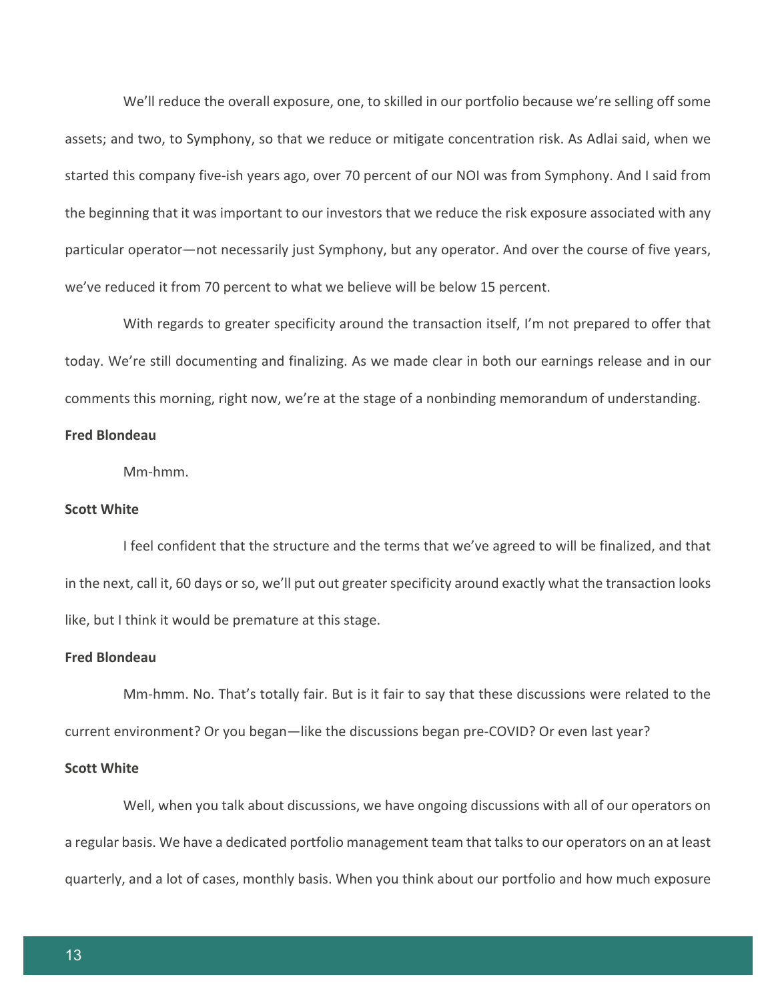We'll reduce the overall exposure, one, to skilled in our portfolio because we're selling off some assets; and two, to Symphony, so that we reduce or mitigate concentration risk. As Adlai said, when we started this company five-ish years ago, over 70 percent of our NOI was from Symphony. And I said from the beginning that it was important to our investors that we reduce the risk exposure associated with any particular operator—not necessarily just Symphony, but any operator. And over the course of five years, we've reduced it from 70 percent to what we believe will be below 15 percent.

With regards to greater specificity around the transaction itself, I'm not prepared to offer that today. We're still documenting and finalizing. As we made clear in both our earnings release and in our comments this morning, right now, we're at the stage of a nonbinding memorandum of understanding.

#### **Fred Blondeau**

Mm-hmm.

## **Scott White**

I feel confident that the structure and the terms that we've agreed to will be finalized, and that in the next, call it, 60 days or so, we'll put out greater specificity around exactly what the transaction looks like, but I think it would be premature at this stage.

#### **Fred Blondeau**

Mm-hmm. No. That's totally fair. But is it fair to say that these discussions were related to the current environment? Or you began—like the discussions began pre-COVID? Or even last year?

#### **Scott White**

Well, when you talk about discussions, we have ongoing discussions with all of our operators on a regular basis. We have a dedicated portfolio management team that talks to our operators on an at least quarterly, and a lot of cases, monthly basis. When you think about our portfolio and how much exposure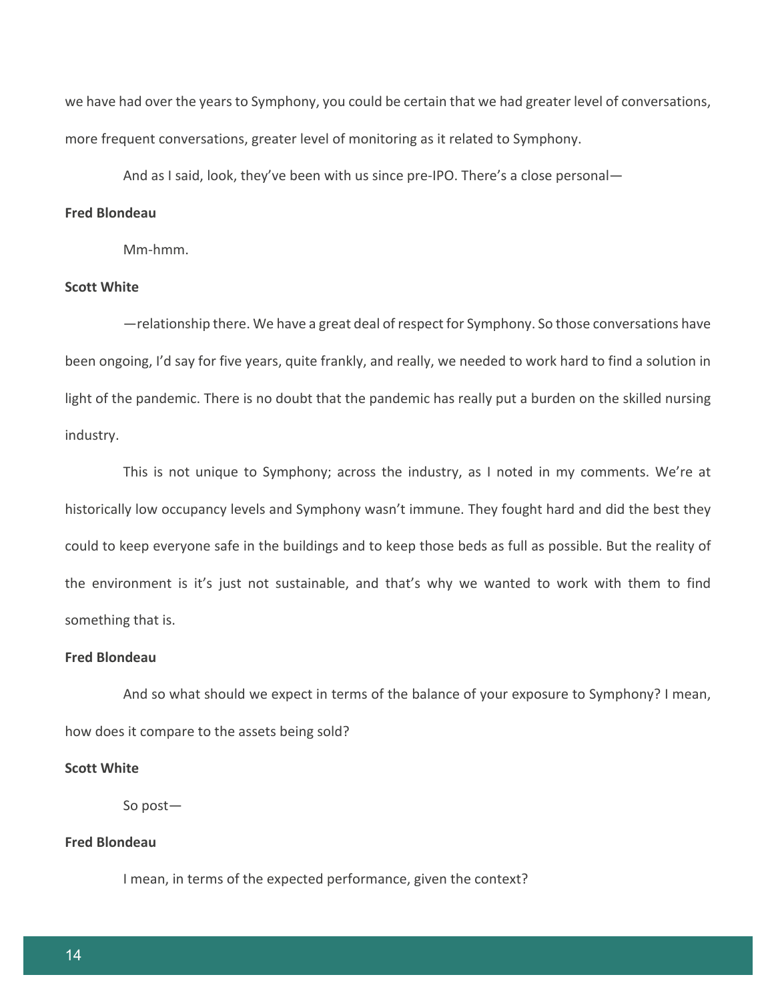we have had over the years to Symphony, you could be certain that we had greater level of conversations, more frequent conversations, greater level of monitoring as it related to Symphony.

And as I said, look, they've been with us since pre-IPO. There's a close personal—

#### **Fred Blondeau**

Mm-hmm.

## **Scott White**

—relationship there. We have a great deal of respect for Symphony. So those conversations have been ongoing, I'd say for five years, quite frankly, and really, we needed to work hard to find a solution in light of the pandemic. There is no doubt that the pandemic has really put a burden on the skilled nursing industry.

This is not unique to Symphony; across the industry, as I noted in my comments. We're at historically low occupancy levels and Symphony wasn't immune. They fought hard and did the best they could to keep everyone safe in the buildings and to keep those beds as full as possible. But the reality of the environment is it's just not sustainable, and that's why we wanted to work with them to find something that is.

#### **Fred Blondeau**

And so what should we expect in terms of the balance of your exposure to Symphony? I mean, how does it compare to the assets being sold?

#### **Scott White**

So post—

## **Fred Blondeau**

I mean, in terms of the expected performance, given the context?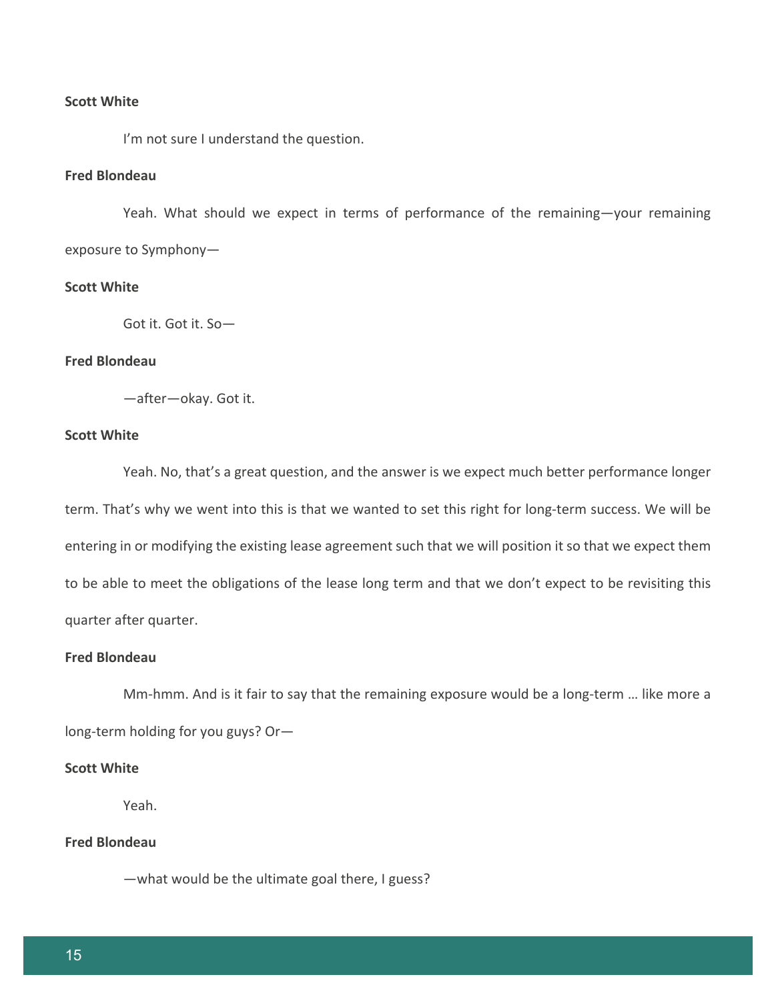#### **Scott White**

I'm not sure I understand the question.

## **Fred Blondeau**

Yeah. What should we expect in terms of performance of the remaining—your remaining exposure to Symphony—

## **Scott White**

Got it. Got it. So—

## **Fred Blondeau**

—after—okay. Got it.

## **Scott White**

Yeah. No, that's a great question, and the answer is we expect much better performance longer term. That's why we went into this is that we wanted to set this right for long-term success. We will be entering in or modifying the existing lease agreement such that we will position it so that we expect them to be able to meet the obligations of the lease long term and that we don't expect to be revisiting this quarter after quarter.

#### **Fred Blondeau**

Mm-hmm. And is it fair to say that the remaining exposure would be a long-term … like more a long-term holding for you guys? Or—

#### **Scott White**

Yeah.

## **Fred Blondeau**

—what would be the ultimate goal there, I guess?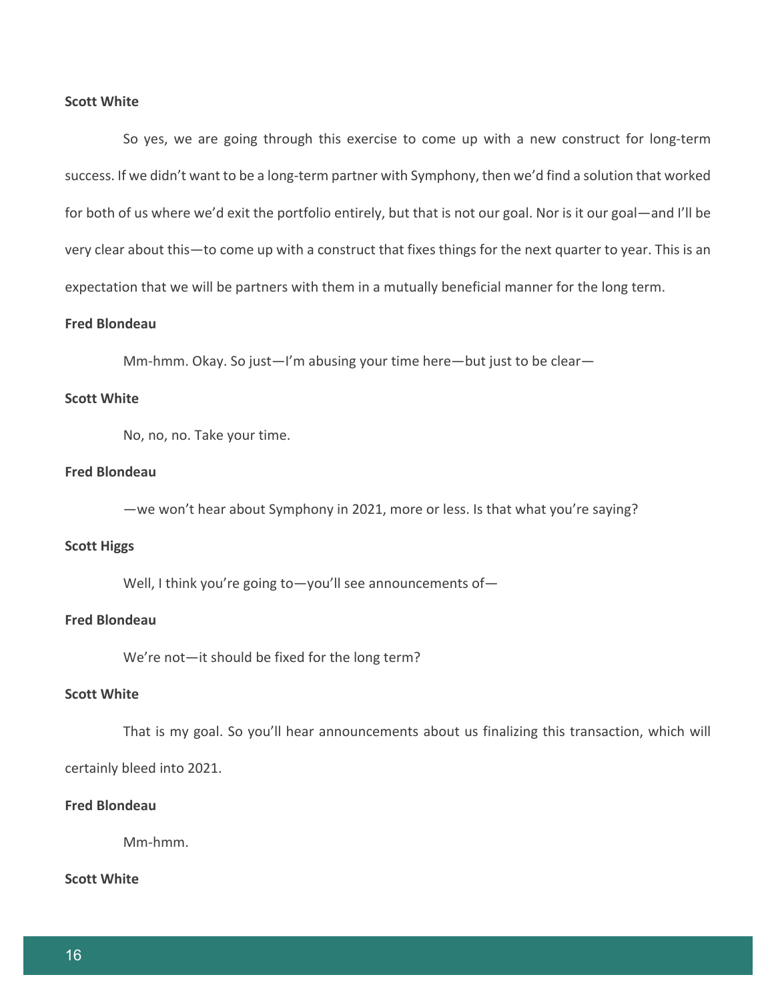#### **Scott White**

So yes, we are going through this exercise to come up with a new construct for long-term success. If we didn't want to be a long-term partner with Symphony, then we'd find a solution that worked for both of us where we'd exit the portfolio entirely, but that is not our goal. Nor is it our goal—and I'll be very clear about this—to come up with a construct that fixes things for the next quarter to year. This is an expectation that we will be partners with them in a mutually beneficial manner for the long term.

#### **Fred Blondeau**

Mm-hmm. Okay. So just—I'm abusing your time here—but just to be clear—

## **Scott White**

No, no, no. Take your time.

#### **Fred Blondeau**

—we won't hear about Symphony in 2021, more or less. Is that what you're saying?

#### **Scott Higgs**

Well, I think you're going to-you'll see announcements of-

## **Fred Blondeau**

We're not—it should be fixed for the long term?

#### **Scott White**

That is my goal. So you'll hear announcements about us finalizing this transaction, which will

certainly bleed into 2021.

## **Fred Blondeau**

Mm-hmm.

## **Scott White**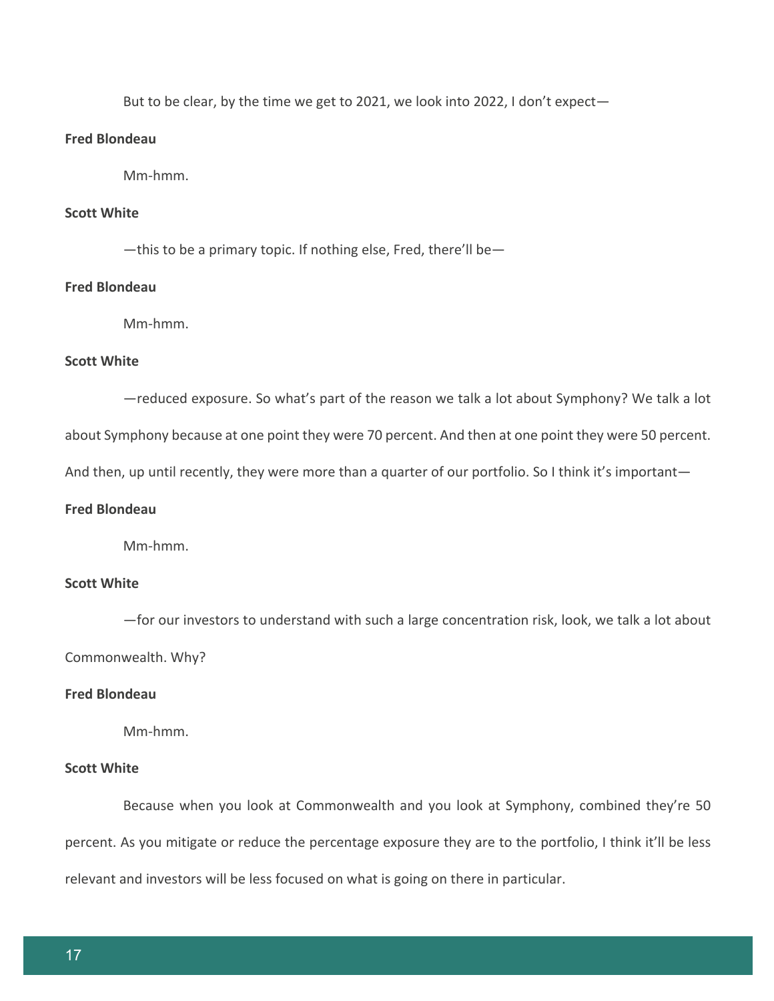But to be clear, by the time we get to 2021, we look into 2022, I don't expect—

## **Fred Blondeau**

Mm-hmm.

## **Scott White**

—this to be a primary topic. If nothing else, Fred, there'll be—

#### **Fred Blondeau**

Mm-hmm.

#### **Scott White**

—reduced exposure. So what's part of the reason we talk a lot about Symphony? We talk a lot

about Symphony because at one point they were 70 percent. And then at one point they were 50 percent.

And then, up until recently, they were more than a quarter of our portfolio. So I think it's important—

## **Fred Blondeau**

Mm-hmm.

## **Scott White**

—for our investors to understand with such a large concentration risk, look, we talk a lot about Commonwealth. Why?

#### **Fred Blondeau**

Mm-hmm.

#### **Scott White**

Because when you look at Commonwealth and you look at Symphony, combined they're 50 percent. As you mitigate or reduce the percentage exposure they are to the portfolio, I think it'll be less relevant and investors will be less focused on what is going on there in particular.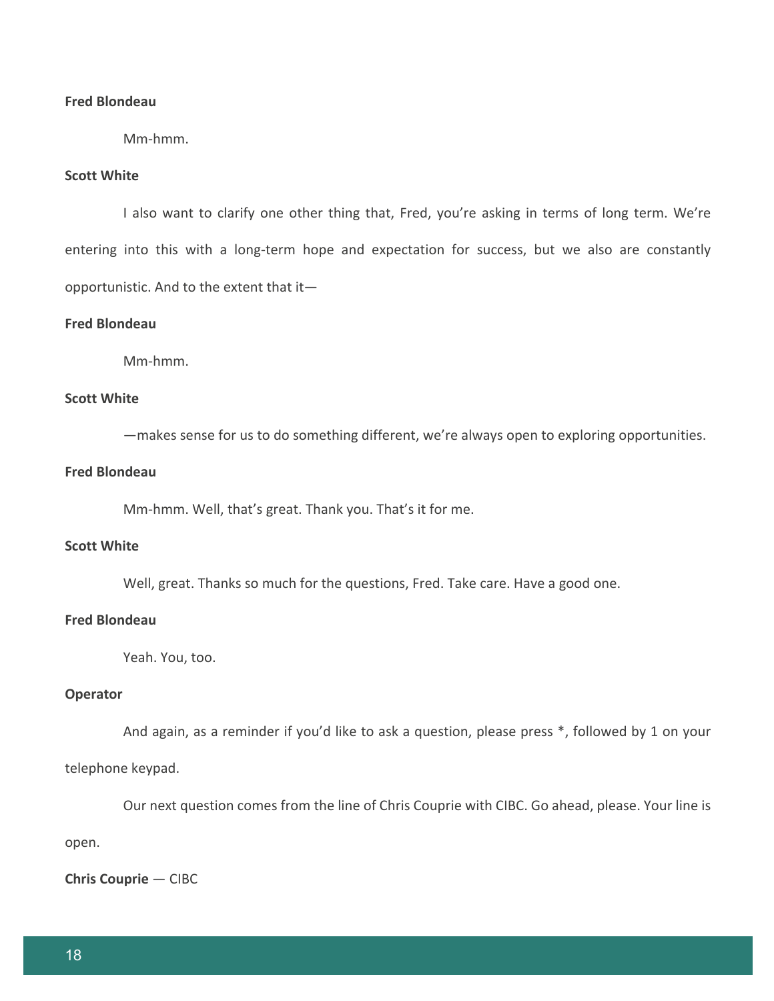## **Fred Blondeau**

Mm-hmm.

## **Scott White**

I also want to clarify one other thing that, Fred, you're asking in terms of long term. We're entering into this with a long-term hope and expectation for success, but we also are constantly opportunistic. And to the extent that it—

## **Fred Blondeau**

Mm-hmm.

## **Scott White**

—makes sense for us to do something different, we're always open to exploring opportunities.

#### **Fred Blondeau**

Mm-hmm. Well, that's great. Thank you. That's it for me.

## **Scott White**

Well, great. Thanks so much for the questions, Fred. Take care. Have a good one.

## **Fred Blondeau**

Yeah. You, too.

## **Operator**

And again, as a reminder if you'd like to ask a question, please press \*, followed by 1 on your

#### telephone keypad.

Our next question comes from the line of Chris Couprie with CIBC. Go ahead, please. Your line is

open.

**Chris Couprie** — CIBC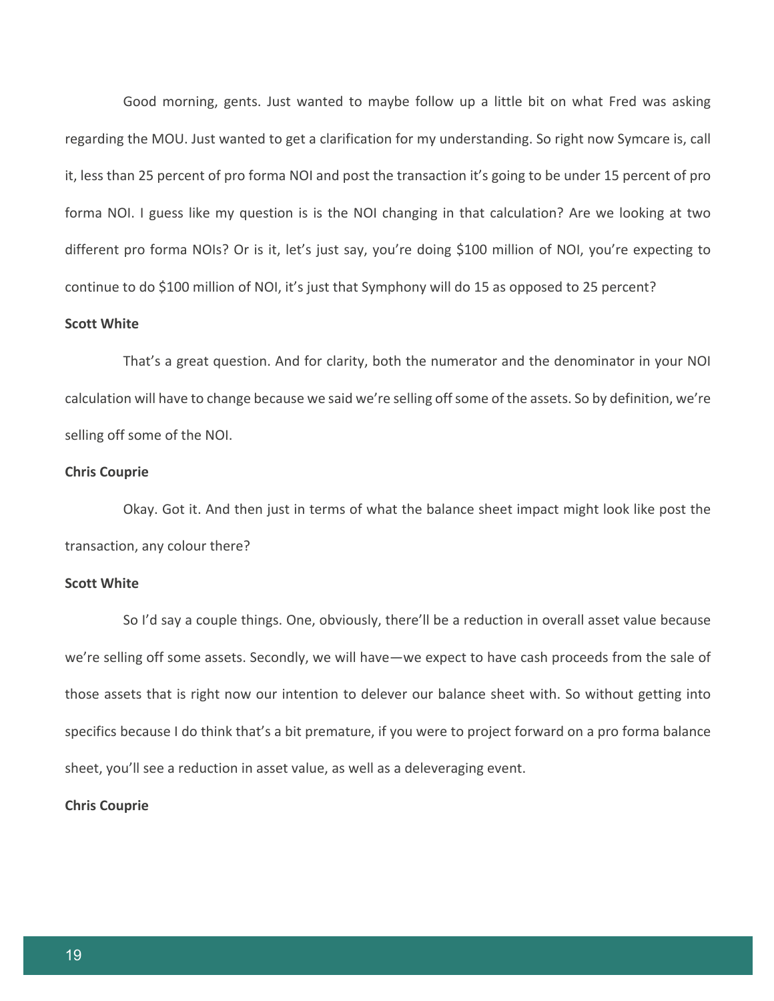Good morning, gents. Just wanted to maybe follow up a little bit on what Fred was asking regarding the MOU. Just wanted to get a clarification for my understanding. So right now Symcare is, call it, less than 25 percent of pro forma NOI and post the transaction it's going to be under 15 percent of pro forma NOI. I guess like my question is is the NOI changing in that calculation? Are we looking at two different pro forma NOIs? Or is it, let's just say, you're doing \$100 million of NOI, you're expecting to continue to do \$100 million of NOI, it's just that Symphony will do 15 as opposed to 25 percent?

#### **Scott White**

That's a great question. And for clarity, both the numerator and the denominator in your NOI calculation will have to change because we said we're selling off some of the assets. So by definition, we're selling off some of the NOI.

## **Chris Couprie**

Okay. Got it. And then just in terms of what the balance sheet impact might look like post the transaction, any colour there?

#### **Scott White**

So I'd say a couple things. One, obviously, there'll be a reduction in overall asset value because we're selling off some assets. Secondly, we will have—we expect to have cash proceeds from the sale of those assets that is right now our intention to delever our balance sheet with. So without getting into specifics because I do think that's a bit premature, if you were to project forward on a pro forma balance sheet, you'll see a reduction in asset value, as well as a deleveraging event.

## **Chris Couprie**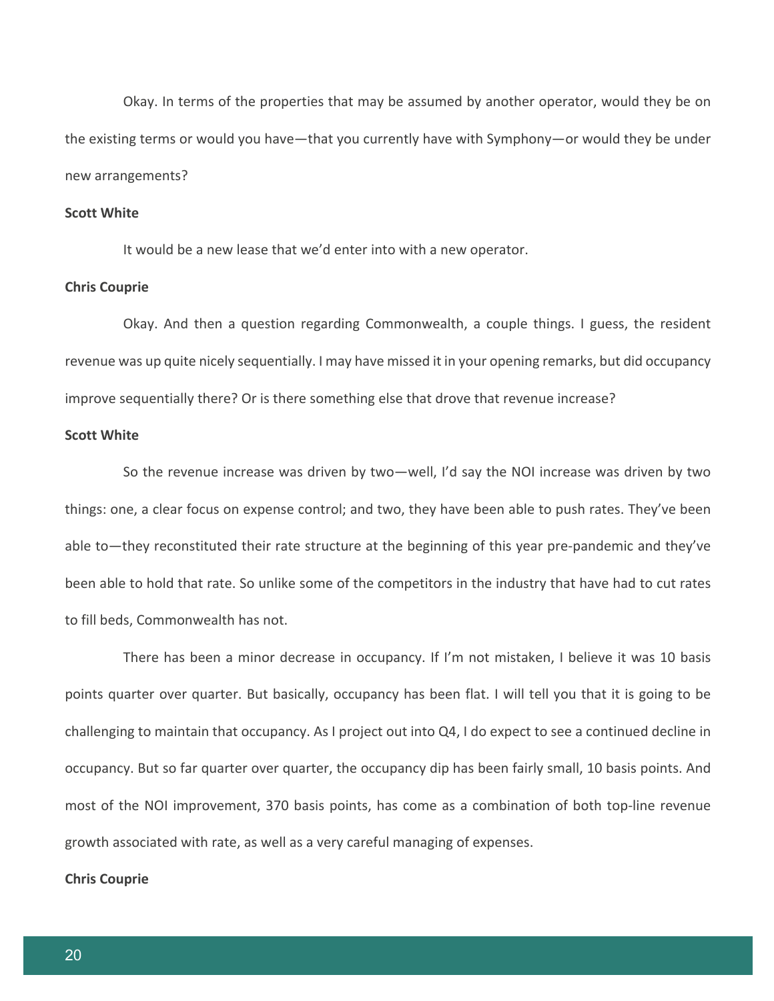Okay. In terms of the properties that may be assumed by another operator, would they be on the existing terms or would you have—that you currently have with Symphony—or would they be under new arrangements?

#### **Scott White**

It would be a new lease that we'd enter into with a new operator.

#### **Chris Couprie**

Okay. And then a question regarding Commonwealth, a couple things. I guess, the resident revenue was up quite nicely sequentially. I may have missed it in your opening remarks, but did occupancy improve sequentially there? Or is there something else that drove that revenue increase?

#### **Scott White**

So the revenue increase was driven by two—well, I'd say the NOI increase was driven by two things: one, a clear focus on expense control; and two, they have been able to push rates. They've been able to—they reconstituted their rate structure at the beginning of this year pre-pandemic and they've been able to hold that rate. So unlike some of the competitors in the industry that have had to cut rates to fill beds, Commonwealth has not.

There has been a minor decrease in occupancy. If I'm not mistaken, I believe it was 10 basis points quarter over quarter. But basically, occupancy has been flat. I will tell you that it is going to be challenging to maintain that occupancy. As I project out into Q4, I do expect to see a continued decline in occupancy. But so far quarter over quarter, the occupancy dip has been fairly small, 10 basis points. And most of the NOI improvement, 370 basis points, has come as a combination of both top-line revenue growth associated with rate, as well as a very careful managing of expenses.

#### **Chris Couprie**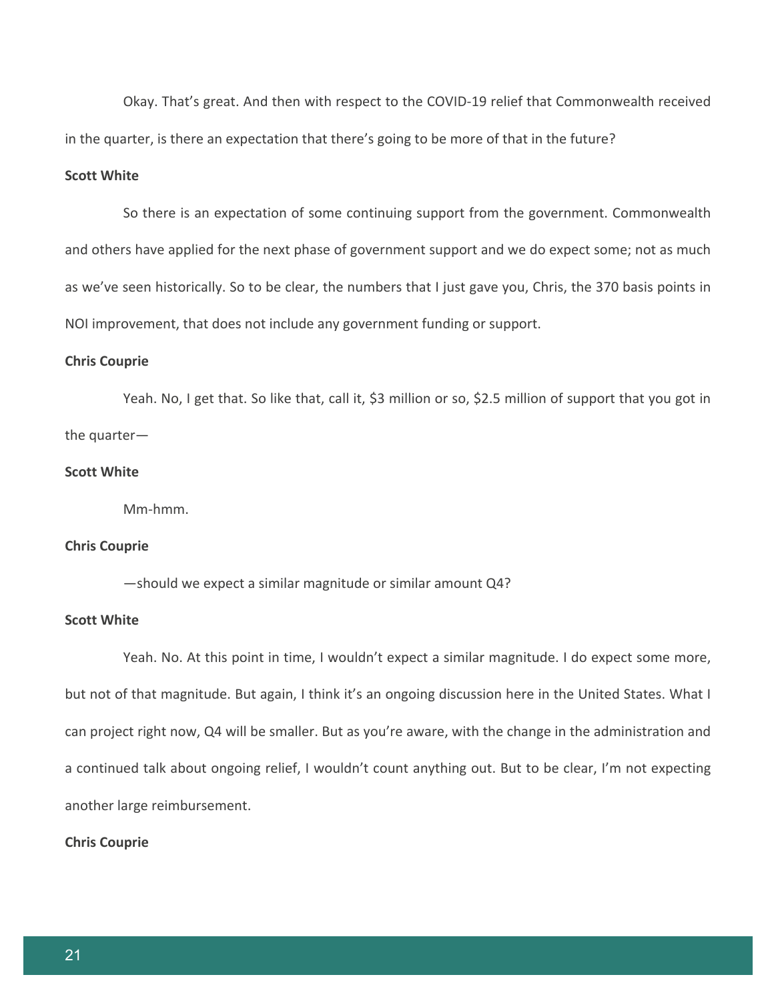Okay. That's great. And then with respect to the COVID-19 relief that Commonwealth received in the quarter, is there an expectation that there's going to be more of that in the future?

## **Scott White**

So there is an expectation of some continuing support from the government. Commonwealth and others have applied for the next phase of government support and we do expect some; not as much as we've seen historically. So to be clear, the numbers that I just gave you, Chris, the 370 basis points in NOI improvement, that does not include any government funding or support.

#### **Chris Couprie**

Yeah. No, I get that. So like that, call it, \$3 million or so, \$2.5 million of support that you got in the quarter—

## **Scott White**

Mm-hmm.

## **Chris Couprie**

—should we expect a similar magnitude or similar amount Q4?

## **Scott White**

Yeah. No. At this point in time, I wouldn't expect a similar magnitude. I do expect some more, but not of that magnitude. But again, I think it's an ongoing discussion here in the United States. What I can project right now, Q4 will be smaller. But as you're aware, with the change in the administration and a continued talk about ongoing relief, I wouldn't count anything out. But to be clear, I'm not expecting another large reimbursement.

#### **Chris Couprie**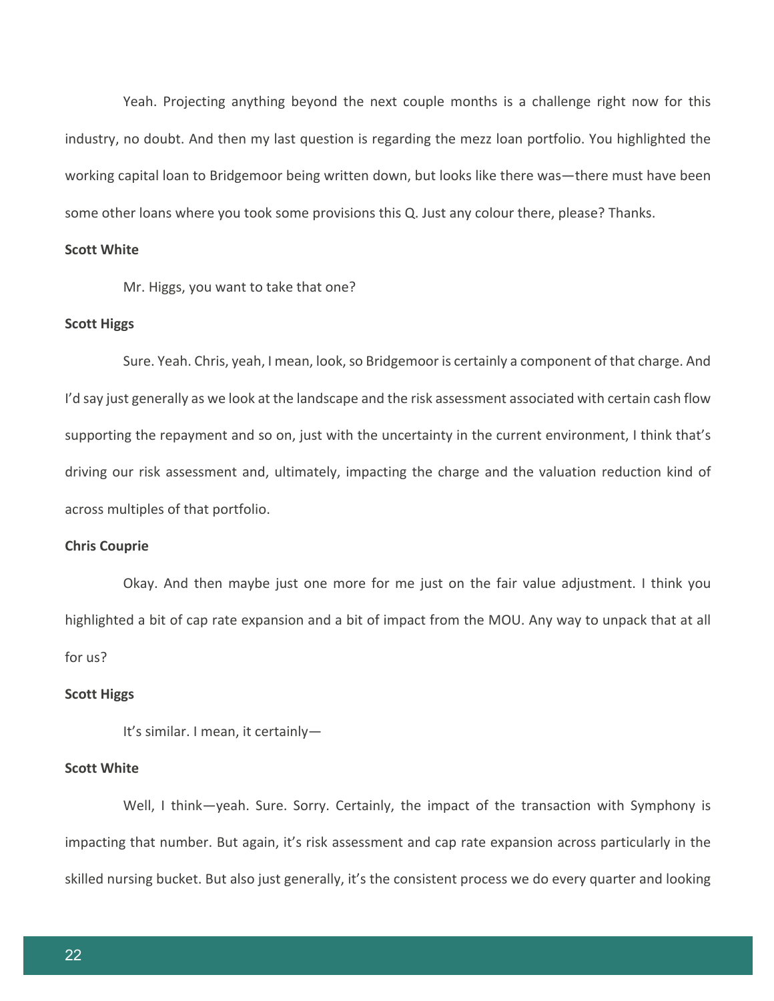Yeah. Projecting anything beyond the next couple months is a challenge right now for this industry, no doubt. And then my last question is regarding the mezz loan portfolio. You highlighted the working capital loan to Bridgemoor being written down, but looks like there was—there must have been some other loans where you took some provisions this Q. Just any colour there, please? Thanks.

## **Scott White**

Mr. Higgs, you want to take that one?

#### **Scott Higgs**

Sure. Yeah. Chris, yeah, I mean, look, so Bridgemoor is certainly a component of that charge. And I'd say just generally as we look at the landscape and the risk assessment associated with certain cash flow supporting the repayment and so on, just with the uncertainty in the current environment, I think that's driving our risk assessment and, ultimately, impacting the charge and the valuation reduction kind of across multiples of that portfolio.

#### **Chris Couprie**

Okay. And then maybe just one more for me just on the fair value adjustment. I think you highlighted a bit of cap rate expansion and a bit of impact from the MOU. Any way to unpack that at all for us?

#### **Scott Higgs**

It's similar. I mean, it certainly—

#### **Scott White**

Well, I think-yeah. Sure. Sorry. Certainly, the impact of the transaction with Symphony is impacting that number. But again, it's risk assessment and cap rate expansion across particularly in the skilled nursing bucket. But also just generally, it's the consistent process we do every quarter and looking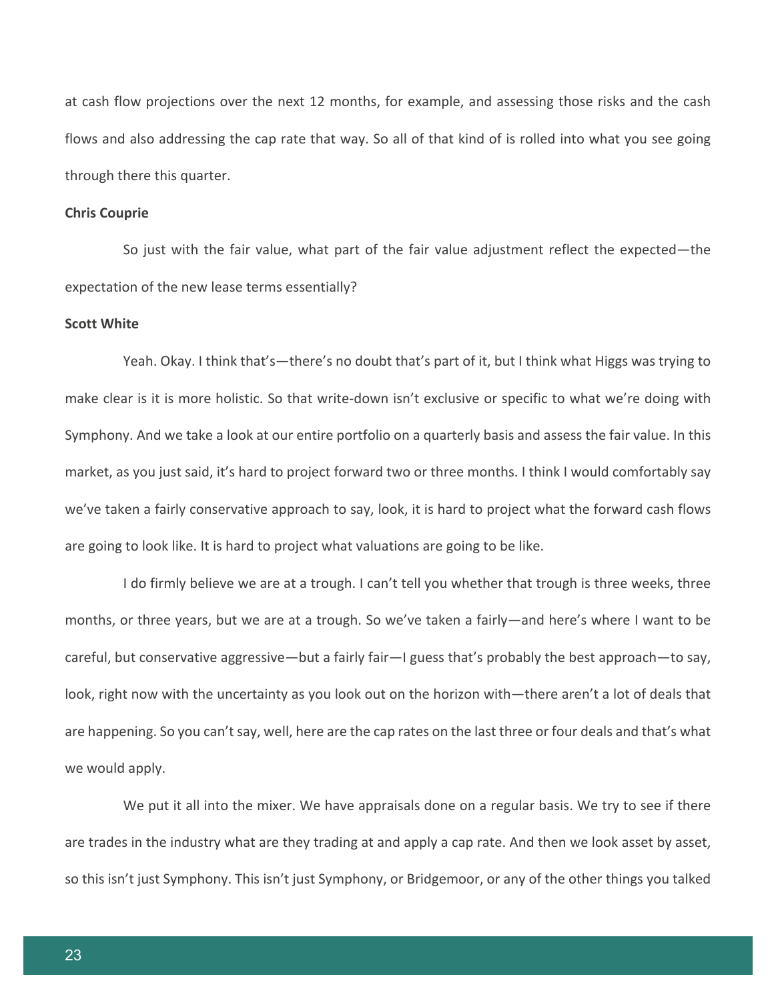at cash flow projections over the next 12 months, for example, and assessing those risks and the cash flows and also addressing the cap rate that way. So all of that kind of is rolled into what you see going through there this quarter.

#### **Chris Couprie**

So just with the fair value, what part of the fair value adjustment reflect the expected—the expectation of the new lease terms essentially?

#### **Scott White**

Yeah. Okay. I think that's—there's no doubt that's part of it, but I think what Higgs was trying to make clear is it is more holistic. So that write-down isn't exclusive or specific to what we're doing with Symphony. And we take a look at our entire portfolio on a quarterly basis and assess the fair value. In this market, as you just said, it's hard to project forward two or three months. I think I would comfortably say we've taken a fairly conservative approach to say, look, it is hard to project what the forward cash flows are going to look like. It is hard to project what valuations are going to be like.

I do firmly believe we are at a trough. I can't tell you whether that trough is three weeks, three months, or three years, but we are at a trough. So we've taken a fairly—and here's where I want to be careful, but conservative aggressive—but a fairly fair—I guess that's probably the best approach—to say, look, right now with the uncertainty as you look out on the horizon with—there aren't a lot of deals that are happening. So you can't say, well, here are the cap rates on the last three or four deals and that's what we would apply.

We put it all into the mixer. We have appraisals done on a regular basis. We try to see if there are trades in the industry what are they trading at and apply a cap rate. And then we look asset by asset, so this isn't just Symphony. This isn't just Symphony, or Bridgemoor, or any of the other things you talked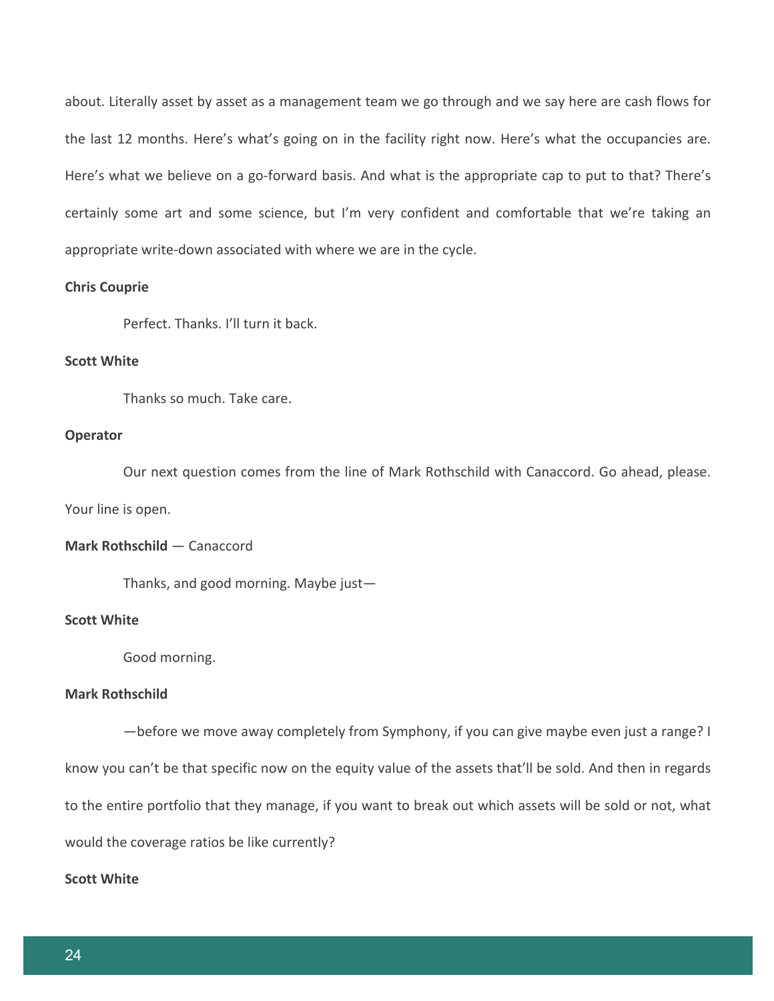about. Literally asset by asset as a management team we go through and we say here are cash flows for the last 12 months. Here's what's going on in the facility right now. Here's what the occupancies are. Here's what we believe on a go-forward basis. And what is the appropriate cap to put to that? There's certainly some art and some science, but I'm very confident and comfortable that we're taking an appropriate write-down associated with where we are in the cycle.

## **Chris Couprie**

Perfect. Thanks. I'll turn it back.

#### **Scott White**

Thanks so much. Take care.

#### **Operator**

Our next question comes from the line of Mark Rothschild with Canaccord. Go ahead, please. Your line is open.

#### **Mark Rothschild** — Canaccord

Thanks, and good morning. Maybe just—

## **Scott White**

Good morning.

#### **Mark Rothschild**

—before we move away completely from Symphony, if you can give maybe even just a range? I know you can't be that specific now on the equity value of the assets that'll be sold. And then in regards to the entire portfolio that they manage, if you want to break out which assets will be sold or not, what would the coverage ratios be like currently?

## **Scott White**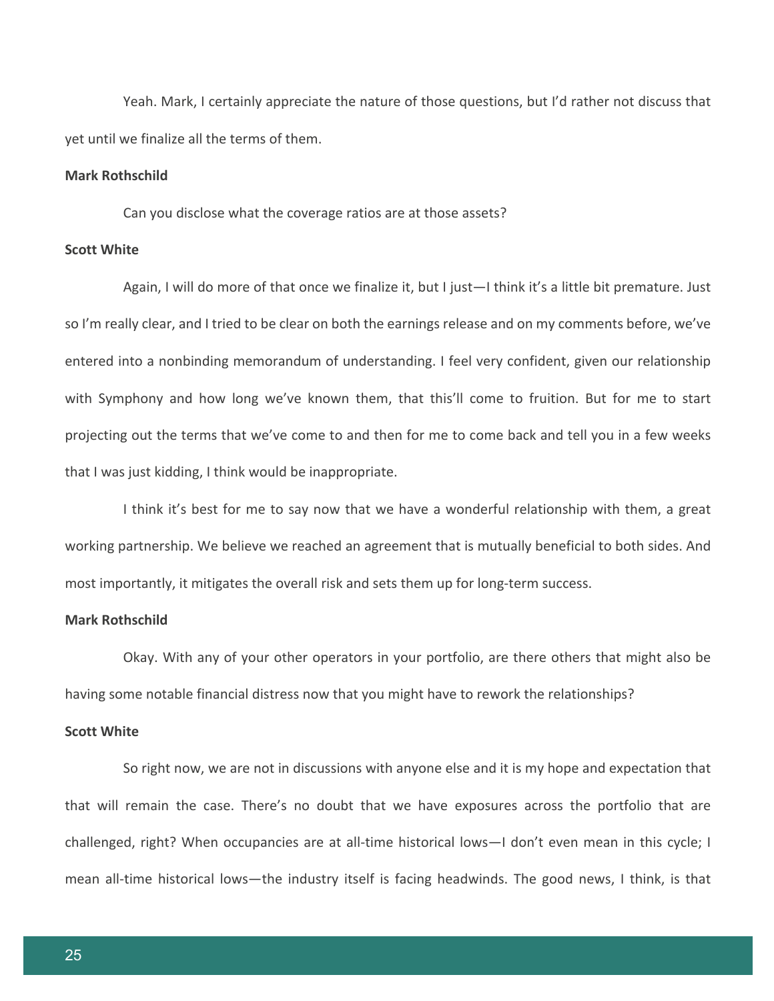Yeah. Mark, I certainly appreciate the nature of those questions, but I'd rather not discuss that yet until we finalize all the terms of them.

## **Mark Rothschild**

Can you disclose what the coverage ratios are at those assets?

## **Scott White**

Again, I will do more of that once we finalize it, but I just—I think it's a little bit premature. Just so I'm really clear, and I tried to be clear on both the earnings release and on my comments before, we've entered into a nonbinding memorandum of understanding. I feel very confident, given our relationship with Symphony and how long we've known them, that this'll come to fruition. But for me to start projecting out the terms that we've come to and then for me to come back and tell you in a few weeks that I was just kidding, I think would be inappropriate.

I think it's best for me to say now that we have a wonderful relationship with them, a great working partnership. We believe we reached an agreement that is mutually beneficial to both sides. And most importantly, it mitigates the overall risk and sets them up for long-term success.

## **Mark Rothschild**

Okay. With any of your other operators in your portfolio, are there others that might also be having some notable financial distress now that you might have to rework the relationships?

#### **Scott White**

So right now, we are not in discussions with anyone else and it is my hope and expectation that that will remain the case. There's no doubt that we have exposures across the portfolio that are challenged, right? When occupancies are at all-time historical lows—I don't even mean in this cycle; I mean all-time historical lows—the industry itself is facing headwinds. The good news, I think, is that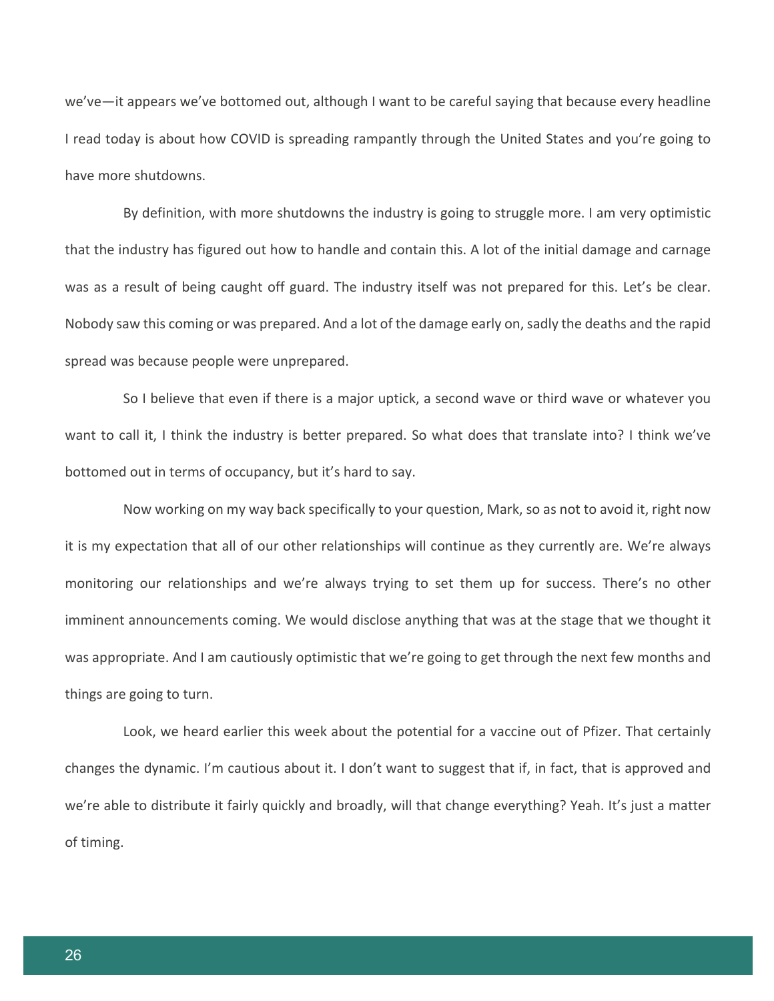we've—it appears we've bottomed out, although I want to be careful saying that because every headline I read today is about how COVID is spreading rampantly through the United States and you're going to have more shutdowns.

By definition, with more shutdowns the industry is going to struggle more. I am very optimistic that the industry has figured out how to handle and contain this. A lot of the initial damage and carnage was as a result of being caught off guard. The industry itself was not prepared for this. Let's be clear. Nobody saw this coming or was prepared. And a lot of the damage early on, sadly the deaths and the rapid spread was because people were unprepared.

So I believe that even if there is a major uptick, a second wave or third wave or whatever you want to call it, I think the industry is better prepared. So what does that translate into? I think we've bottomed out in terms of occupancy, but it's hard to say.

Now working on my way back specifically to your question, Mark, so as not to avoid it, right now it is my expectation that all of our other relationships will continue as they currently are. We're always monitoring our relationships and we're always trying to set them up for success. There's no other imminent announcements coming. We would disclose anything that was at the stage that we thought it was appropriate. And I am cautiously optimistic that we're going to get through the next few months and things are going to turn.

Look, we heard earlier this week about the potential for a vaccine out of Pfizer. That certainly changes the dynamic. I'm cautious about it. I don't want to suggest that if, in fact, that is approved and we're able to distribute it fairly quickly and broadly, will that change everything? Yeah. It's just a matter of timing.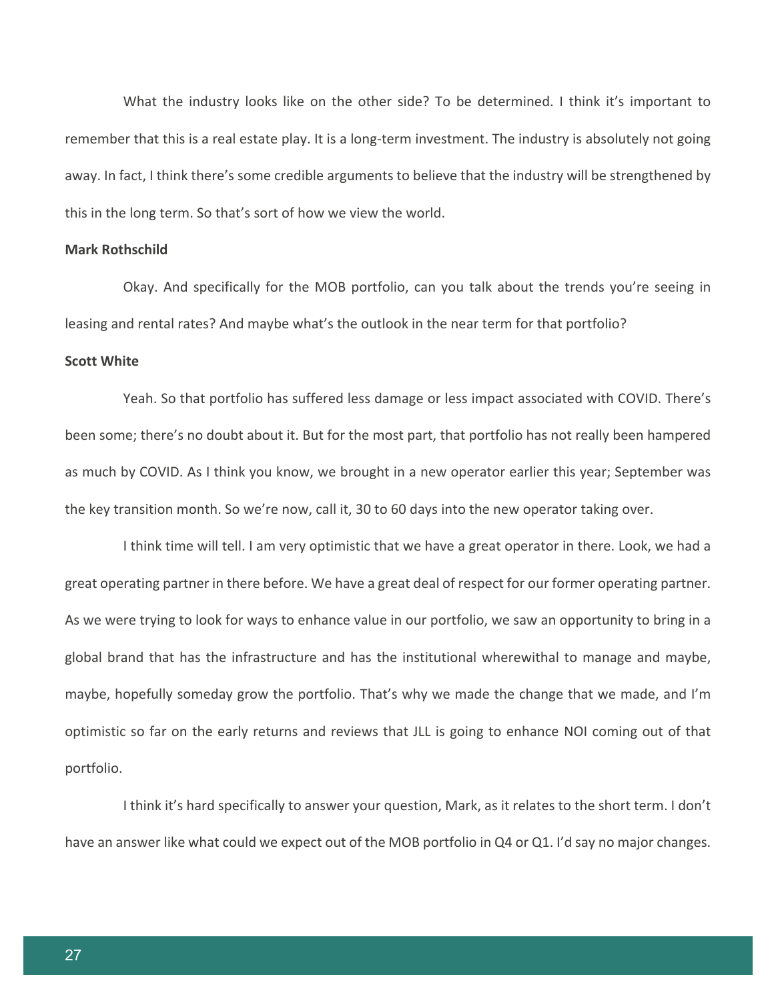What the industry looks like on the other side? To be determined. I think it's important to remember that this is a real estate play. It is a long-term investment. The industry is absolutely not going away. In fact, I think there's some credible arguments to believe that the industry will be strengthened by this in the long term. So that's sort of how we view the world.

## **Mark Rothschild**

Okay. And specifically for the MOB portfolio, can you talk about the trends you're seeing in leasing and rental rates? And maybe what's the outlook in the near term for that portfolio?

#### **Scott White**

Yeah. So that portfolio has suffered less damage or less impact associated with COVID. There's been some; there's no doubt about it. But for the most part, that portfolio has not really been hampered as much by COVID. As I think you know, we brought in a new operator earlier this year; September was the key transition month. So we're now, call it, 30 to 60 days into the new operator taking over.

I think time will tell. I am very optimistic that we have a great operator in there. Look, we had a great operating partner in there before. We have a great deal of respect for our former operating partner. As we were trying to look for ways to enhance value in our portfolio, we saw an opportunity to bring in a global brand that has the infrastructure and has the institutional wherewithal to manage and maybe, maybe, hopefully someday grow the portfolio. That's why we made the change that we made, and I'm optimistic so far on the early returns and reviews that JLL is going to enhance NOI coming out of that portfolio.

I think it's hard specifically to answer your question, Mark, as it relates to the short term. I don't have an answer like what could we expect out of the MOB portfolio in Q4 or Q1. I'd say no major changes.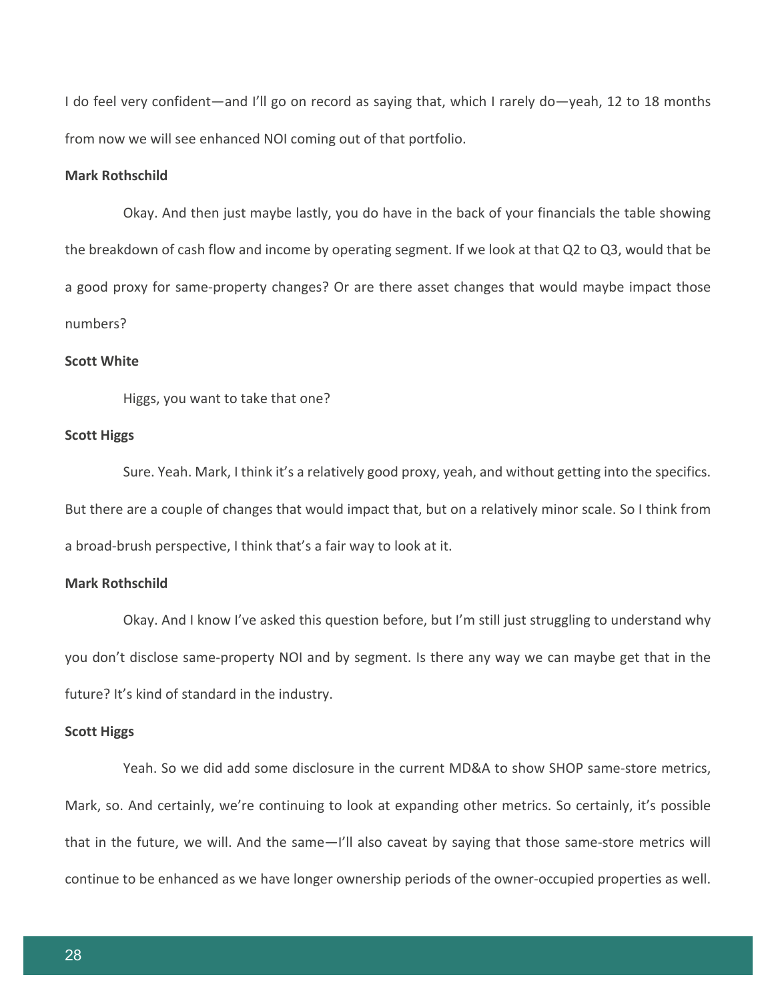I do feel very confident—and I'll go on record as saying that, which I rarely do—yeah, 12 to 18 months from now we will see enhanced NOI coming out of that portfolio.

## **Mark Rothschild**

Okay. And then just maybe lastly, you do have in the back of your financials the table showing the breakdown of cash flow and income by operating segment. If we look at that Q2 to Q3, would that be a good proxy for same-property changes? Or are there asset changes that would maybe impact those numbers?

#### **Scott White**

Higgs, you want to take that one?

## **Scott Higgs**

Sure. Yeah. Mark, I think it's a relatively good proxy, yeah, and without getting into the specifics. But there are a couple of changes that would impact that, but on a relatively minor scale. So I think from a broad-brush perspective, I think that's a fair way to look at it.

#### **Mark Rothschild**

Okay. And I know I've asked this question before, but I'm still just struggling to understand why you don't disclose same-property NOI and by segment. Is there any way we can maybe get that in the future? It's kind of standard in the industry.

#### **Scott Higgs**

Yeah. So we did add some disclosure in the current MD&A to show SHOP same-store metrics, Mark, so. And certainly, we're continuing to look at expanding other metrics. So certainly, it's possible that in the future, we will. And the same—I'll also caveat by saying that those same-store metrics will continue to be enhanced as we have longer ownership periods of the owner-occupied properties as well.